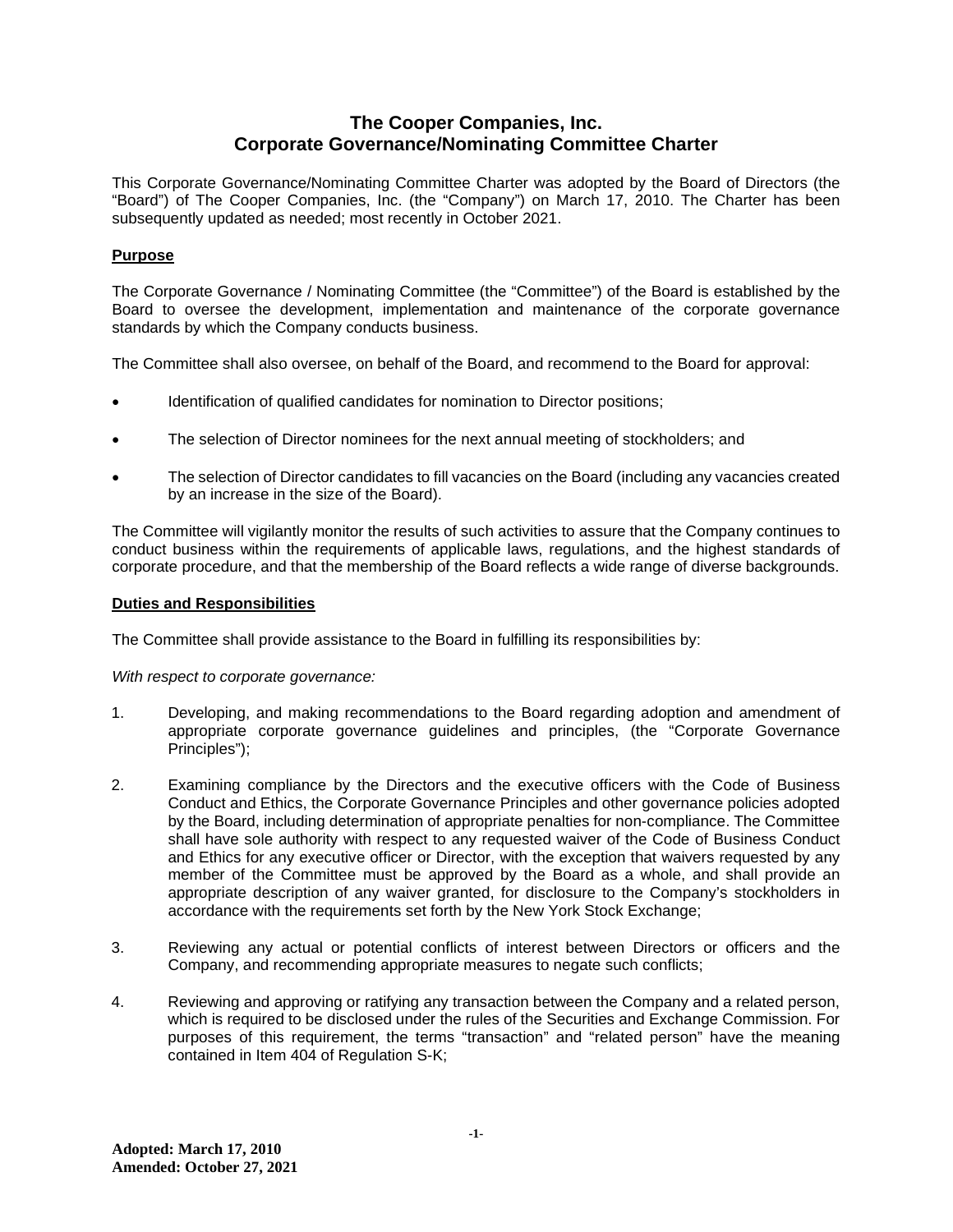# **The Cooper Companies, Inc. Corporate Governance/Nominating Committee Charter**

This Corporate Governance/Nominating Committee Charter was adopted by the Board of Directors (the "Board") of The Cooper Companies, Inc. (the "Company") on March 17, 2010. The Charter has been subsequently updated as needed; most recently in October 2021.

# **Purpose**

The Corporate Governance / Nominating Committee (the "Committee") of the Board is established by the Board to oversee the development, implementation and maintenance of the corporate governance standards by which the Company conducts business.

The Committee shall also oversee, on behalf of the Board, and recommend to the Board for approval:

- Identification of qualified candidates for nomination to Director positions;
- The selection of Director nominees for the next annual meeting of stockholders; and
- The selection of Director candidates to fill vacancies on the Board (including any vacancies created by an increase in the size of the Board).

The Committee will vigilantly monitor the results of such activities to assure that the Company continues to conduct business within the requirements of applicable laws, regulations, and the highest standards of corporate procedure, and that the membership of the Board reflects a wide range of diverse backgrounds.

## **Duties and Responsibilities**

The Committee shall provide assistance to the Board in fulfilling its responsibilities by:

*With respect to corporate governance:*

- 1. Developing, and making recommendations to the Board regarding adoption and amendment of appropriate corporate governance guidelines and principles, (the "Corporate Governance Principles");
- 2. Examining compliance by the Directors and the executive officers with the Code of Business Conduct and Ethics, the Corporate Governance Principles and other governance policies adopted by the Board, including determination of appropriate penalties for non-compliance. The Committee shall have sole authority with respect to any requested waiver of the Code of Business Conduct and Ethics for any executive officer or Director, with the exception that waivers requested by any member of the Committee must be approved by the Board as a whole, and shall provide an appropriate description of any waiver granted, for disclosure to the Company's stockholders in accordance with the requirements set forth by the New York Stock Exchange;
- 3. Reviewing any actual or potential conflicts of interest between Directors or officers and the Company, and recommending appropriate measures to negate such conflicts;
- 4. Reviewing and approving or ratifying any transaction between the Company and a related person, which is required to be disclosed under the rules of the Securities and Exchange Commission. For purposes of this requirement, the terms "transaction" and "related person" have the meaning contained in Item 404 of Regulation S-K;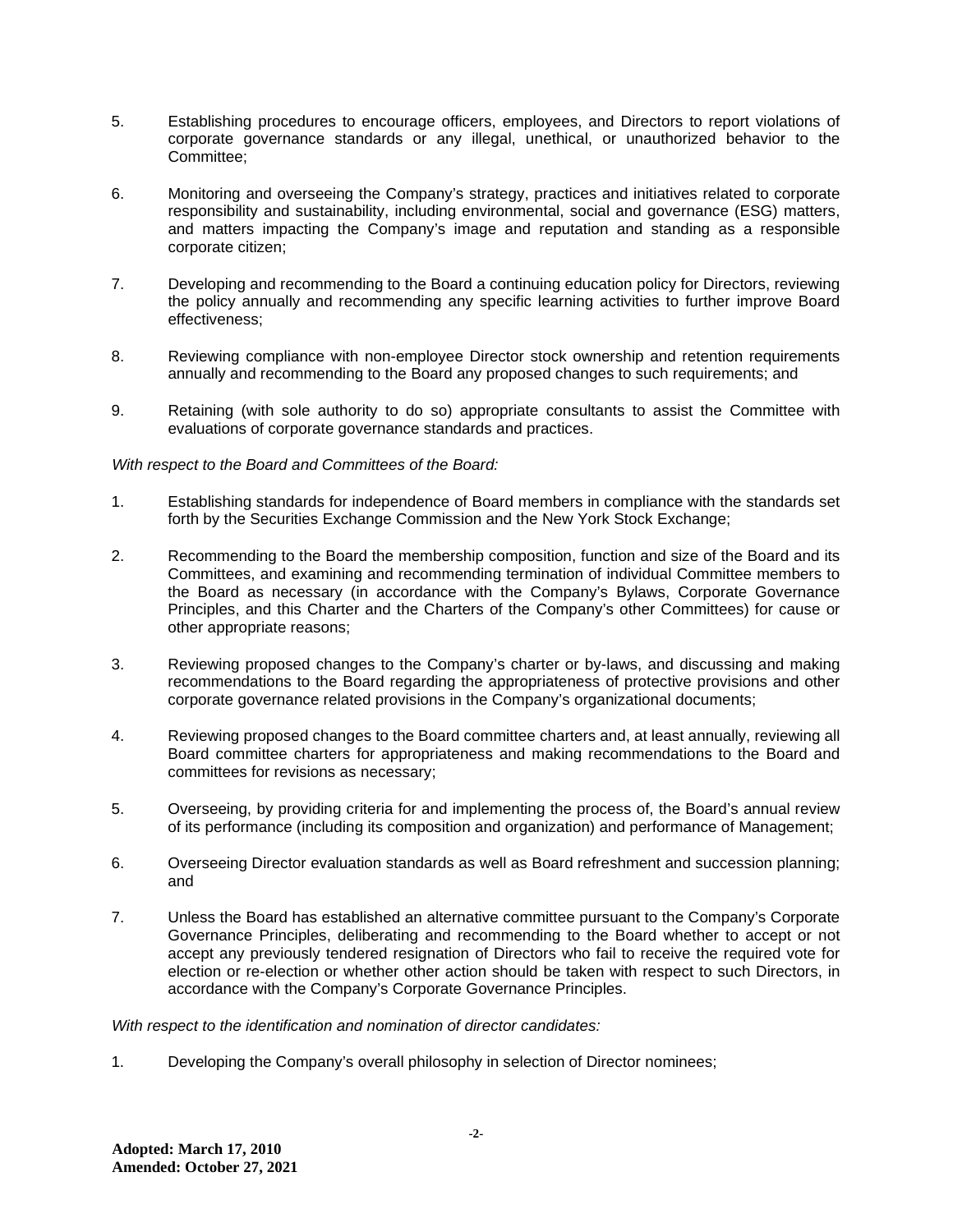- 5. Establishing procedures to encourage officers, employees, and Directors to report violations of corporate governance standards or any illegal, unethical, or unauthorized behavior to the Committee;
- 6. Monitoring and overseeing the Company's strategy, practices and initiatives related to corporate responsibility and sustainability, including environmental, social and governance (ESG) matters, and matters impacting the Company's image and reputation and standing as a responsible corporate citizen;
- 7. Developing and recommending to the Board a continuing education policy for Directors, reviewing the policy annually and recommending any specific learning activities to further improve Board effectiveness;
- 8. Reviewing compliance with non-employee Director stock ownership and retention requirements annually and recommending to the Board any proposed changes to such requirements; and
- 9. Retaining (with sole authority to do so) appropriate consultants to assist the Committee with evaluations of corporate governance standards and practices.

## *With respect to the Board and Committees of the Board:*

- 1. Establishing standards for independence of Board members in compliance with the standards set forth by the Securities Exchange Commission and the New York Stock Exchange;
- 2. Recommending to the Board the membership composition, function and size of the Board and its Committees, and examining and recommending termination of individual Committee members to the Board as necessary (in accordance with the Company's Bylaws, Corporate Governance Principles, and this Charter and the Charters of the Company's other Committees) for cause or other appropriate reasons;
- 3. Reviewing proposed changes to the Company's charter or by-laws, and discussing and making recommendations to the Board regarding the appropriateness of protective provisions and other corporate governance related provisions in the Company's organizational documents;
- 4. Reviewing proposed changes to the Board committee charters and, at least annually, reviewing all Board committee charters for appropriateness and making recommendations to the Board and committees for revisions as necessary;
- 5. Overseeing, by providing criteria for and implementing the process of, the Board's annual review of its performance (including its composition and organization) and performance of Management;
- 6. Overseeing Director evaluation standards as well as Board refreshment and succession planning; and
- 7. Unless the Board has established an alternative committee pursuant to the Company's Corporate Governance Principles, deliberating and recommending to the Board whether to accept or not accept any previously tendered resignation of Directors who fail to receive the required vote for election or re-election or whether other action should be taken with respect to such Directors, in accordance with the Company's Corporate Governance Principles.

*With respect to the identification and nomination of director candidates:*

1. Developing the Company's overall philosophy in selection of Director nominees;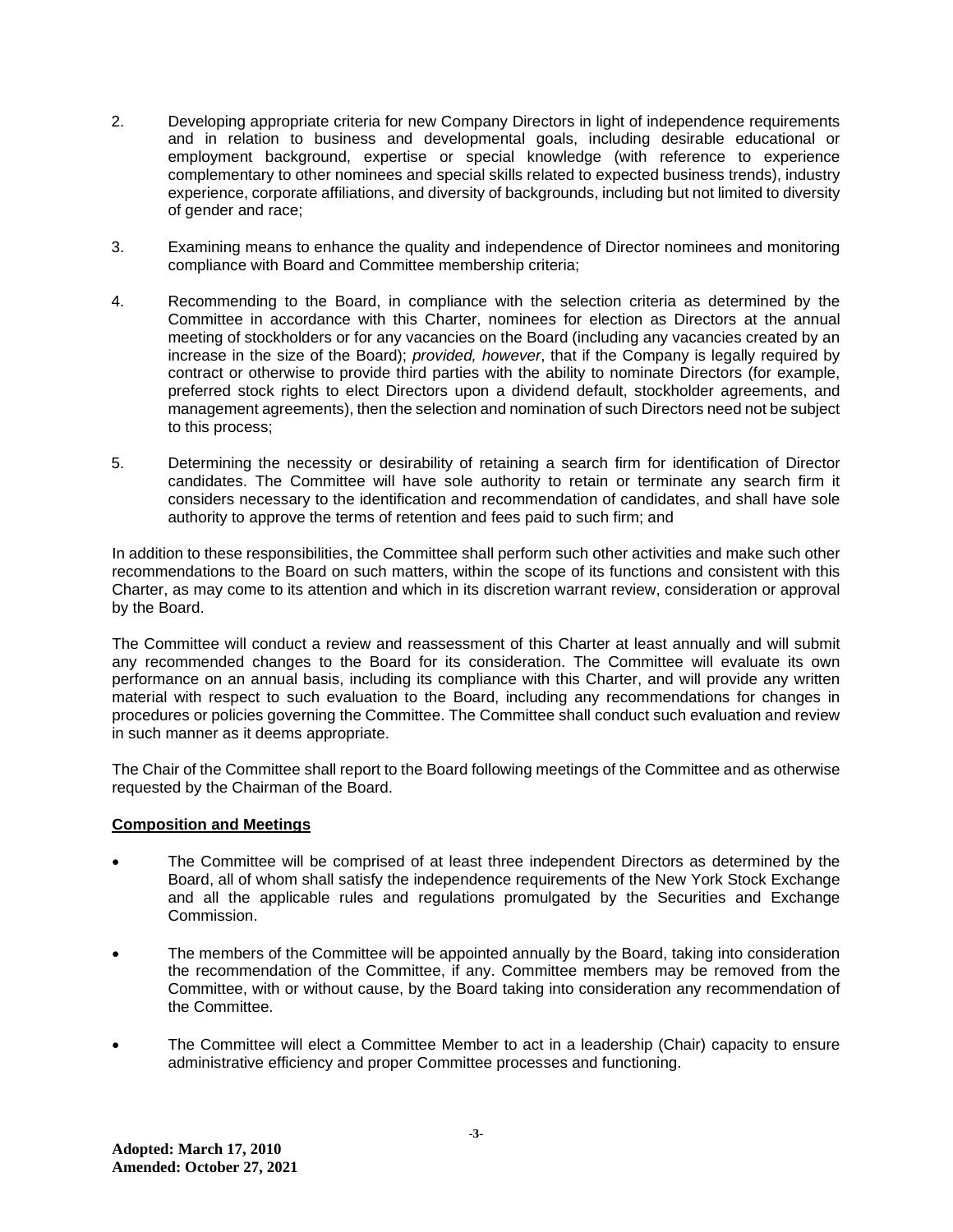- 2. Developing appropriate criteria for new Company Directors in light of independence requirements and in relation to business and developmental goals, including desirable educational or employment background, expertise or special knowledge (with reference to experience complementary to other nominees and special skills related to expected business trends), industry experience, corporate affiliations, and diversity of backgrounds, including but not limited to diversity of gender and race;
- 3. Examining means to enhance the quality and independence of Director nominees and monitoring compliance with Board and Committee membership criteria;
- 4. Recommending to the Board, in compliance with the selection criteria as determined by the Committee in accordance with this Charter, nominees for election as Directors at the annual meeting of stockholders or for any vacancies on the Board (including any vacancies created by an increase in the size of the Board); *provided, however*, that if the Company is legally required by contract or otherwise to provide third parties with the ability to nominate Directors (for example, preferred stock rights to elect Directors upon a dividend default, stockholder agreements, and management agreements), then the selection and nomination of such Directors need not be subject to this process;
- 5. Determining the necessity or desirability of retaining a search firm for identification of Director candidates. The Committee will have sole authority to retain or terminate any search firm it considers necessary to the identification and recommendation of candidates, and shall have sole authority to approve the terms of retention and fees paid to such firm; and

In addition to these responsibilities, the Committee shall perform such other activities and make such other recommendations to the Board on such matters, within the scope of its functions and consistent with this Charter, as may come to its attention and which in its discretion warrant review, consideration or approval by the Board.

The Committee will conduct a review and reassessment of this Charter at least annually and will submit any recommended changes to the Board for its consideration. The Committee will evaluate its own performance on an annual basis, including its compliance with this Charter, and will provide any written material with respect to such evaluation to the Board, including any recommendations for changes in procedures or policies governing the Committee. The Committee shall conduct such evaluation and review in such manner as it deems appropriate.

The Chair of the Committee shall report to the Board following meetings of the Committee and as otherwise requested by the Chairman of the Board.

#### **Composition and Meetings**

- The Committee will be comprised of at least three independent Directors as determined by the Board, all of whom shall satisfy the independence requirements of the New York Stock Exchange and all the applicable rules and regulations promulgated by the Securities and Exchange Commission.
- The members of the Committee will be appointed annually by the Board, taking into consideration the recommendation of the Committee, if any. Committee members may be removed from the Committee, with or without cause, by the Board taking into consideration any recommendation of the Committee.
- The Committee will elect a Committee Member to act in a leadership (Chair) capacity to ensure administrative efficiency and proper Committee processes and functioning.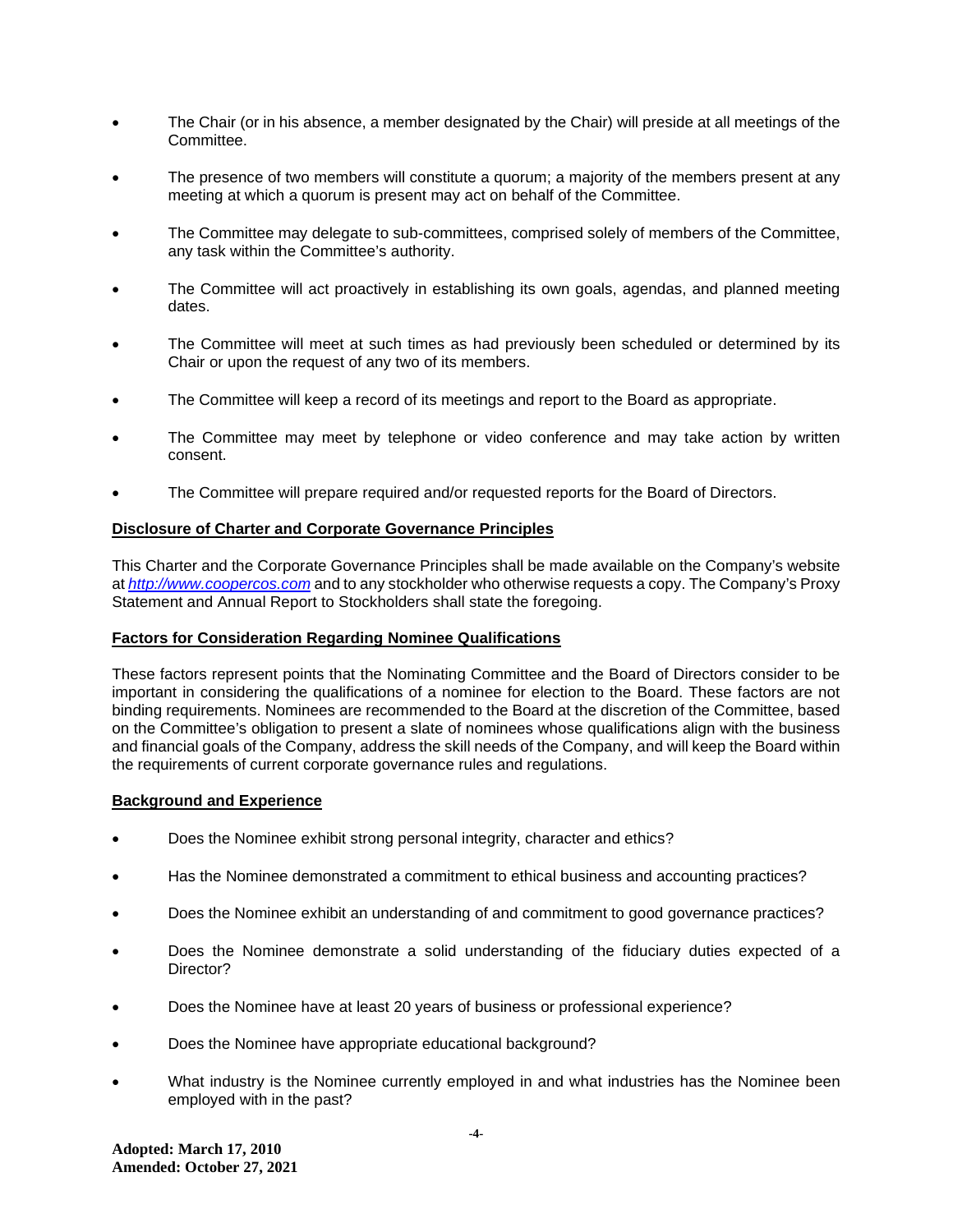- The Chair (or in his absence, a member designated by the Chair) will preside at all meetings of the Committee.
- The presence of two members will constitute a quorum; a majority of the members present at any meeting at which a quorum is present may act on behalf of the Committee.
- The Committee may delegate to sub-committees, comprised solely of members of the Committee, any task within the Committee's authority.
- The Committee will act proactively in establishing its own goals, agendas, and planned meeting dates.
- The Committee will meet at such times as had previously been scheduled or determined by its Chair or upon the request of any two of its members.
- The Committee will keep a record of its meetings and report to the Board as appropriate.
- The Committee may meet by telephone or video conference and may take action by written consent.
- The Committee will prepare required and/or requested reports for the Board of Directors.

#### **Disclosure of Charter and Corporate Governance Principles**

This Charter and the Corporate Governance Principles shall be made available on the Company's website at *[http://www.coopercos.com](http://www.coopercos.com/)* and to any stockholder who otherwise requests a copy. The Company's Proxy Statement and Annual Report to Stockholders shall state the foregoing.

#### **Factors for Consideration Regarding Nominee Qualifications**

These factors represent points that the Nominating Committee and the Board of Directors consider to be important in considering the qualifications of a nominee for election to the Board. These factors are not binding requirements. Nominees are recommended to the Board at the discretion of the Committee, based on the Committee's obligation to present a slate of nominees whose qualifications align with the business and financial goals of the Company, address the skill needs of the Company, and will keep the Board within the requirements of current corporate governance rules and regulations.

#### **Background and Experience**

- Does the Nominee exhibit strong personal integrity, character and ethics?
- Has the Nominee demonstrated a commitment to ethical business and accounting practices?
- Does the Nominee exhibit an understanding of and commitment to good governance practices?
- Does the Nominee demonstrate a solid understanding of the fiduciary duties expected of a Director?
- Does the Nominee have at least 20 years of business or professional experience?
- Does the Nominee have appropriate educational background?
- What industry is the Nominee currently employed in and what industries has the Nominee been employed with in the past?